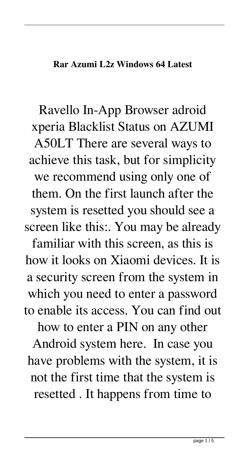## **Rar Azumi L2z Windows 64 Latest**

Ravello In-App Browser adroid xperia Blacklist Status on AZUMI A50LT There are several ways to achieve this task, but for simplicity we recommend using only one of them. On the first launch after the system is resetted you should see a screen like this:. You may be already familiar with this screen, as this is how it looks on Xiaomi devices. It is a security screen from the system in which you need to enter a password to enable its access. You can find out how to enter a PIN on any other Android system here. In case you have problems with the system, it is not the first time that the system is resetted . It happens from time to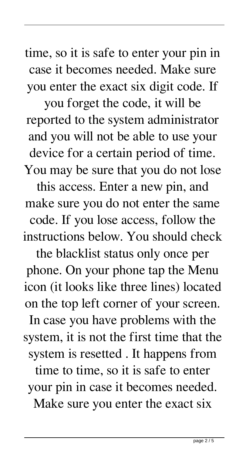time, so it is safe to enter your pin in case it becomes needed. Make sure you enter the exact six digit code. If

you forget the code, it will be reported to the system administrator and you will not be able to use your device for a certain period of time. You may be sure that you do not lose

this access. Enter a new pin, and make sure you do not enter the same code. If you lose access, follow the instructions below. You should check

the blacklist status only once per phone. On your phone tap the Menu icon (it looks like three lines) located on the top left corner of your screen.

In case you have problems with the system, it is not the first time that the system is resetted . It happens from

time to time, so it is safe to enter your pin in case it becomes needed. Make sure you enter the exact six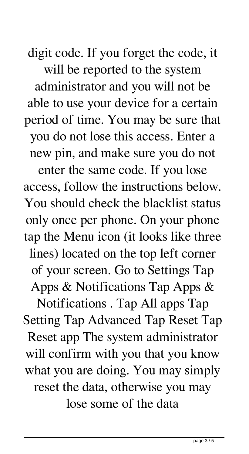digit code. If you forget the code, it will be reported to the system administrator and you will not be able to use your device for a certain period of time. You may be sure that you do not lose this access. Enter a new pin, and make sure you do not enter the same code. If you lose access, follow the instructions below. You should check the blacklist status only once per phone. On your phone tap the Menu icon (it looks like three lines) located on the top left corner of your screen. Go to Settings Tap Apps & Notifications Tap Apps & Notifications . Tap All apps Tap Setting Tap Advanced Tap Reset Tap Reset app The system administrator will confirm with you that you know what you are doing. You may simply reset the data, otherwise you may

lose some of the data